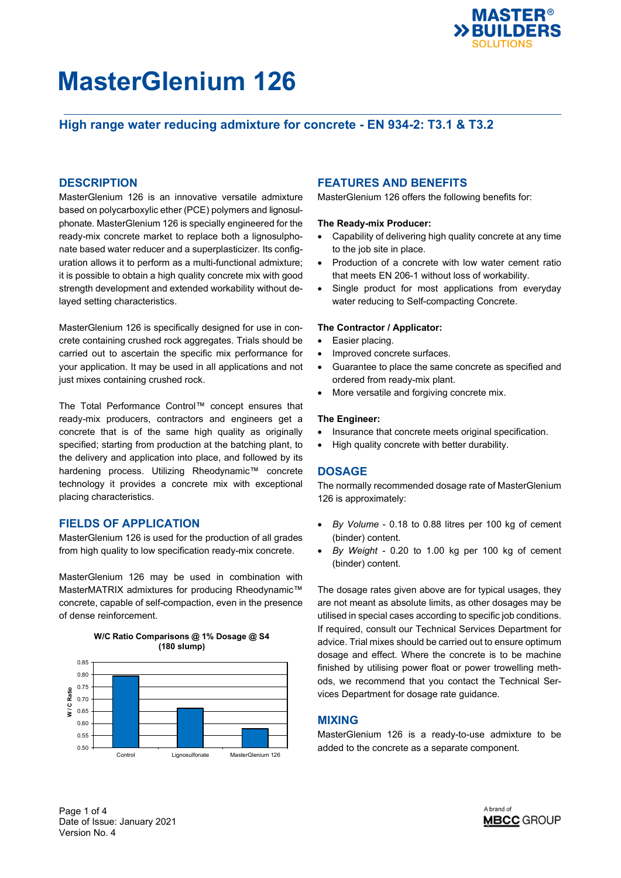

## **High range water reducing admixture for concrete - EN 934-2: T3.1 & T3.2**

### **DESCRIPTION**

MasterGlenium 126 is an innovative versatile admixture based on polycarboxylic ether (PCE) polymers and lignosulphonate. MasterGlenium 126 is specially engineered for the ready-mix concrete market to replace both a lignosulphonate based water reducer and a superplasticizer. Its configuration allows it to perform as a multi-functional admixture; it is possible to obtain a high quality concrete mix with good strength development and extended workability without delayed setting characteristics.

MasterGlenium 126 is specifically designed for use in concrete containing crushed rock aggregates. Trials should be carried out to ascertain the specific mix performance for your application. It may be used in all applications and not just mixes containing crushed rock.

The Total Performance Control™ concept ensures that ready-mix producers, contractors and engineers get a concrete that is of the same high quality as originally specified; starting from production at the batching plant, to the delivery and application into place, and followed by its hardening process. Utilizing Rheodynamic™ concrete technology it provides a concrete mix with exceptional placing characteristics.

## **FIELDS OF APPLICATION**

MasterGlenium 126 is used for the production of all grades from high quality to low specification ready-mix concrete.

MasterGlenium 126 may be used in combination with MasterMATRIX admixtures for producing Rheodynamic™ concrete, capable of self-compaction, even in the presence of dense reinforcement.



### **FEATURES AND BENEFITS**

MasterGlenium 126 offers the following benefits for:

#### **The Ready-mix Producer:**

- Capability of delivering high quality concrete at any time to the job site in place.
- Production of a concrete with low water cement ratio that meets EN 206-1 without loss of workability.
- Single product for most applications from everyday water reducing to Self-compacting Concrete.

#### **The Contractor / Applicator:**

- Easier placing.
- Improved concrete surfaces.
- Guarantee to place the same concrete as specified and ordered from ready-mix plant.
- More versatile and forgiving concrete mix.

#### **The Engineer:**

- Insurance that concrete meets original specification.
- High quality concrete with better durability.

#### **DOSAGE**

The normally recommended dosage rate of MasterGlenium 126 is approximately:

- *By Volume* 0.18 to 0.88 litres per 100 kg of cement (binder) content.
- *By Weight* 0.20 to 1.00 kg per 100 kg of cement (binder) content.

The dosage rates given above are for typical usages, they are not meant as absolute limits, as other dosages may be utilised in special cases according to specific job conditions. If required, consult our Technical Services Department for advice. Trial mixes should be carried out to ensure optimum dosage and effect. Where the concrete is to be machine finished by utilising power float or power trowelling methods, we recommend that you contact the Technical Services Department for dosage rate guidance.

#### **MIXING**

MasterGlenium 126 is a ready-to-use admixture to be

Page 1 of 4 Date of Issue: January 2021 Version No. 4

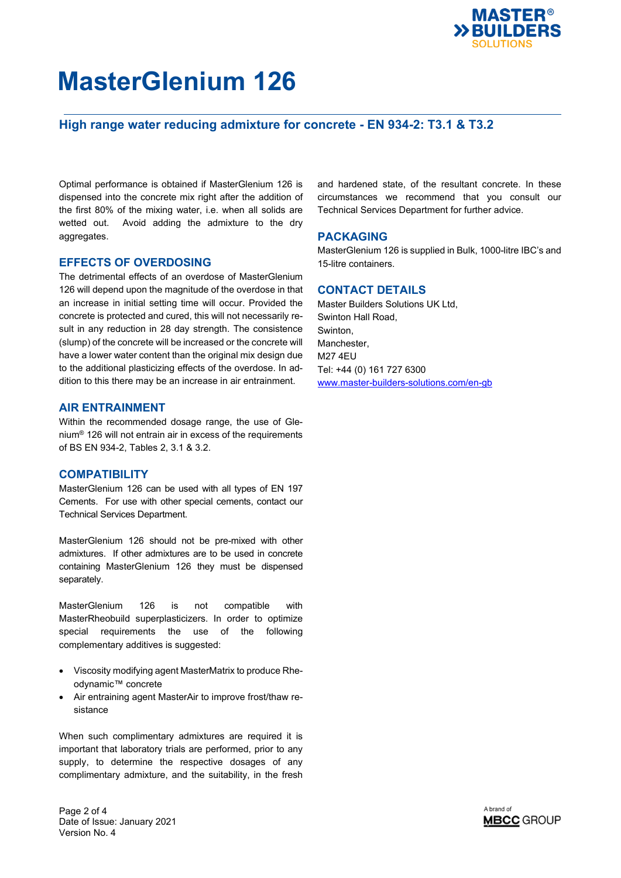

## **High range water reducing admixture for concrete - EN 934-2: T3.1 & T3.2**

Optimal performance is obtained if MasterGlenium 126 is dispensed into the concrete mix right after the addition of the first 80% of the mixing water, i.e. when all solids are wetted out. Avoid adding the admixture to the dry aggregates.

#### **EFFECTS OF OVERDOSING**

The detrimental effects of an overdose of MasterGlenium 126 will depend upon the magnitude of the overdose in that an increase in initial setting time will occur. Provided the concrete is protected and cured, this will not necessarily result in any reduction in 28 day strength. The consistence (slump) of the concrete will be increased or the concrete will have a lower water content than the original mix design due to the additional plasticizing effects of the overdose. In addition to this there may be an increase in air entrainment.

### **AIR ENTRAINMENT**

Within the recommended dosage range, the use of Glenium® 126 will not entrain air in excess of the requirements of BS EN 934-2, Tables 2, 3.1 & 3.2.

## **COMPATIBILITY**

MasterGlenium 126 can be used with all types of EN 197 Cements. For use with other special cements, contact our Technical Services Department.

MasterGlenium 126 should not be pre-mixed with other admixtures. If other admixtures are to be used in concrete containing MasterGlenium 126 they must be dispensed separately.

MasterGlenium 126 is not compatible with MasterRheobuild superplasticizers. In order to optimize special requirements the use of the following complementary additives is suggested:

- Viscosity modifying agent MasterMatrix to produce Rheodynamic™ concrete
- Air entraining agent MasterAir to improve frost/thaw resistance

When such complimentary admixtures are required it is important that laboratory trials are performed, prior to any supply, to determine the respective dosages of any complimentary admixture, and the suitability, in the fresh and hardened state, of the resultant concrete. In these circumstances we recommend that you consult our Technical Services Department for further advice.

#### **PACKAGING**

MasterGlenium 126 is supplied in Bulk, 1000-litre IBC's and 15-litre containers.

### **CONTACT DETAILS**

Master Builders Solutions UK Ltd, Swinton Hall Road, Swinton, Manchester, M27 4EU Tel: +44 (0) 161 727 6300 [www.master-builders-solutions.com/en-gb](http://www.master-builders-solutions.com/en-gb)



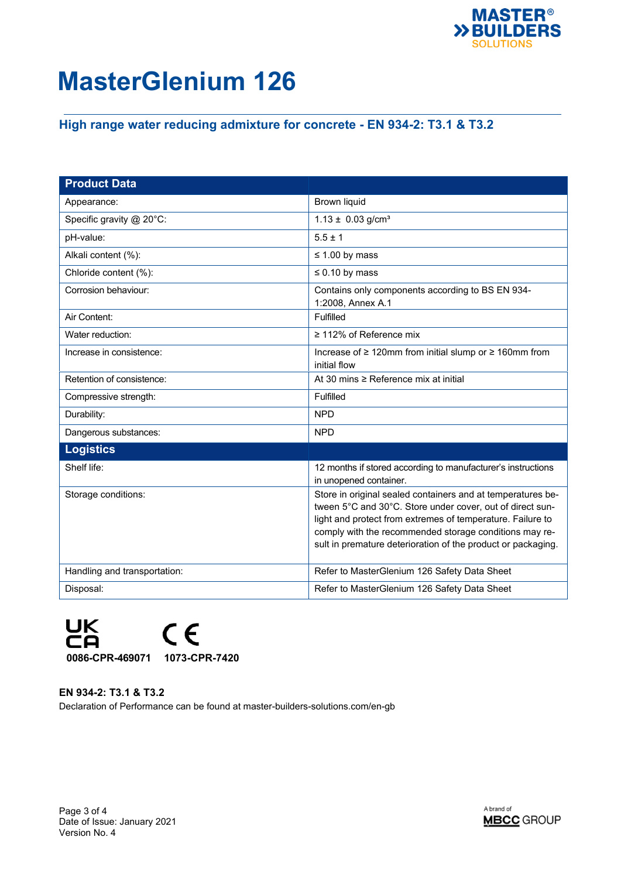

## **High range water reducing admixture for concrete - EN 934-2: T3.1 & T3.2**

| <b>Product Data</b>          |                                                                                                                                                                                                                                                                                                                  |
|------------------------------|------------------------------------------------------------------------------------------------------------------------------------------------------------------------------------------------------------------------------------------------------------------------------------------------------------------|
| Appearance:                  | <b>Brown liquid</b>                                                                                                                                                                                                                                                                                              |
| Specific gravity @ 20°C:     | $1.13 \pm 0.03$ g/cm <sup>3</sup>                                                                                                                                                                                                                                                                                |
| pH-value:                    | $5.5 \pm 1$                                                                                                                                                                                                                                                                                                      |
| Alkali content (%):          | $\leq$ 1.00 by mass                                                                                                                                                                                                                                                                                              |
| Chloride content (%):        | $\leq 0.10$ by mass                                                                                                                                                                                                                                                                                              |
| Corrosion behaviour:         | Contains only components according to BS EN 934-<br>1:2008, Annex A.1                                                                                                                                                                                                                                            |
| Air Content:                 | Fulfilled                                                                                                                                                                                                                                                                                                        |
| Water reduction:             | $\geq$ 112% of Reference mix                                                                                                                                                                                                                                                                                     |
| Increase in consistence:     | Increase of ≥ 120mm from initial slump or ≥ 160mm from<br>initial flow                                                                                                                                                                                                                                           |
| Retention of consistence:    | At 30 mins ≥ Reference mix at initial                                                                                                                                                                                                                                                                            |
| Compressive strength:        | Fulfilled                                                                                                                                                                                                                                                                                                        |
| Durability:                  | <b>NPD</b>                                                                                                                                                                                                                                                                                                       |
| Dangerous substances:        | <b>NPD</b>                                                                                                                                                                                                                                                                                                       |
| <b>Logistics</b>             |                                                                                                                                                                                                                                                                                                                  |
| Shelf life:                  | 12 months if stored according to manufacturer's instructions<br>in unopened container.                                                                                                                                                                                                                           |
| Storage conditions:          | Store in original sealed containers and at temperatures be-<br>tween 5°C and 30°C. Store under cover, out of direct sun-<br>light and protect from extremes of temperature. Failure to<br>comply with the recommended storage conditions may re-<br>sult in premature deterioration of the product or packaging. |
| Handling and transportation: | Refer to MasterGlenium 126 Safety Data Sheet                                                                                                                                                                                                                                                                     |
| Disposal:                    | Refer to MasterGlenium 126 Safety Data Sheet                                                                                                                                                                                                                                                                     |



**EN 934-2: T3.1 & T3.2** Declaration of Performance can be found at master-builders-solutions.com/en-gb